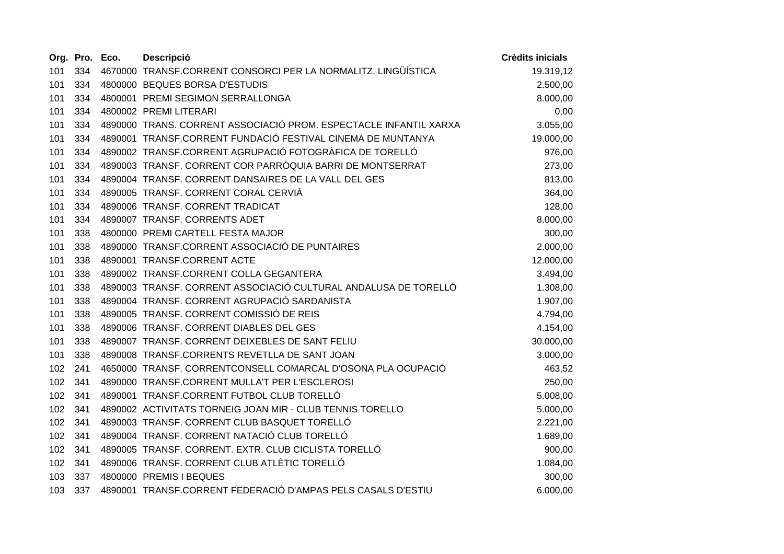|     | Org. Pro. Eco. | <b>Descripció</b>                                                 | <b>Crèdits inicials</b> |
|-----|----------------|-------------------------------------------------------------------|-------------------------|
| 101 | 334            | 4670000 TRANSF.CORRENT CONSORCI PER LA NORMALITZ. LINGÜÍSTICA     | 19.319,12               |
| 101 | 334            | 4800000 BEQUES BORSA D'ESTUDIS                                    | 2.500,00                |
| 101 | 334            | 4800001 PREMI SEGIMON SERRALLONGA                                 | 8.000,00                |
| 101 | 334            | 4800002 PREMI LITERARI                                            | 0,00                    |
| 101 | 334            | 4890000 TRANS. CORRENT ASSOCIACIÓ PROM. ESPECTACLE INFANTIL XARXA | 3.055,00                |
| 101 | 334            | 4890001 TRANSF.CORRENT FUNDACIÓ FESTIVAL CINEMA DE MUNTANYA       | 19.000,00               |
| 101 | 334            | 4890002 TRANSF.CORRENT AGRUPACIÓ FOTOGRÀFICA DE TORELLÓ           | 976,00                  |
| 101 | 334            | 4890003 TRANSF. CORRENT COR PARRÒQUIA BARRI DE MONTSERRAT         | 273,00                  |
| 101 | 334            | 4890004 TRANSF. CORRENT DANSAIRES DE LA VALL DEL GES              | 813,00                  |
| 101 | 334            | 4890005 TRANSF. CORRENT CORAL CERVIÀ                              | 364,00                  |
| 101 | 334            | 4890006 TRANSF. CORRENT TRADICAT                                  | 128,00                  |
| 101 | 334            | 4890007 TRANSF. CORRENTS ADET                                     | 8.000,00                |
| 101 | 338            | 4800000 PREMI CARTELL FESTA MAJOR                                 | 300,00                  |
| 101 | 338            | 4890000 TRANSF.CORRENT ASSOCIACIÓ DE PUNTAIRES                    | 2.000,00                |
| 101 | 338            | 4890001 TRANSF.CORRENT ACTE                                       | 12.000,00               |
| 101 | 338            | 4890002 TRANSF.CORRENT COLLA GEGANTERA                            | 3.494,00                |
| 101 | 338            | 4890003 TRANSF. CORRENT ASSOCIACIÓ CULTURAL ANDALUSA DE TORELLÓ   | 1.308,00                |
| 101 | 338            | 4890004 TRANSF. CORRENT AGRUPACIÓ SARDANISTA                      | 1.907,00                |
| 101 | 338            | 4890005 TRANSF. CORRENT COMISSIÓ DE REIS                          | 4.794,00                |
| 101 | 338            | 4890006 TRANSF. CORRENT DIABLES DEL GES                           | 4.154,00                |
| 101 | 338            | 4890007 TRANSF, CORRENT DEIXEBLES DE SANT FELIU                   | 30.000,00               |
| 101 | 338            | 4890008 TRANSF.CORRENTS REVETLLA DE SANT JOAN                     | 3.000,00                |
| 102 | 241            | 4650000 TRANSF. CORRENTCONSELL COMARCAL D'OSONA PLA OCUPACIÓ      | 463,52                  |
| 102 | 341            | 4890000 TRANSF.CORRENT MULLA'T PER L'ESCLEROSI                    | 250,00                  |
| 102 | 341            | 4890001 TRANSF.CORRENT FUTBOL CLUB TORELLÓ                        | 5.008,00                |
| 102 | 341            | 4890002 ACTIVITATS TORNEIG JOAN MIR - CLUB TENNIS TORELLO         | 5.000,00                |
| 102 | 341            | 4890003 TRANSF. CORRENT CLUB BASQUET TORELLÓ                      | 2.221,00                |
| 102 | 341            | 4890004 TRANSF. CORRENT NATACIÓ CLUB TORELLÓ                      | 1.689,00                |
| 102 | 341            | 4890005 TRANSF. CORRENT. EXTR. CLUB CICLISTA TORELLÓ              | 900,00                  |
| 102 | 341            | 4890006 TRANSF. CORRENT CLUB ATLÈTIC TORELLÓ                      | 1.084,00                |
| 103 | 337            | 4800000 PREMIS I BEQUES                                           | 300,00                  |
| 103 | 337            | 4890001 TRANSF.CORRENT FEDERACIÓ D'AMPAS PELS CASALS D'ESTIU      | 6.000,00                |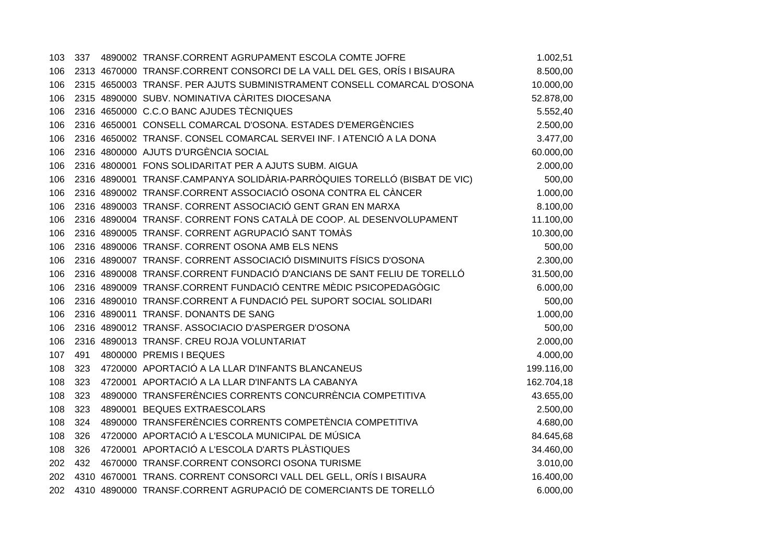| 103 |     | 337 4890002 TRANSF.CORRENT AGRUPAMENT ESCOLA COMTE JOFRE                  | 1.002,51   |
|-----|-----|---------------------------------------------------------------------------|------------|
| 106 |     | 2313 4670000 TRANSF.CORRENT CONSORCI DE LA VALL DEL GES, ORÍS I BISAURA   | 8.500,00   |
| 106 |     | 2315 4650003 TRANSF. PER AJUTS SUBMINISTRAMENT CONSELL COMARCAL D'OSONA   | 10.000,00  |
| 106 |     | 2315 4890000 SUBV. NOMINATIVA CÀRITES DIOCESANA                           | 52.878,00  |
| 106 |     | 2316 4650000 C.C.O BANC AJUDES TÈCNIQUES                                  | 5.552,40   |
| 106 |     | 2316 4650001 CONSELL COMARCAL D'OSONA. ESTADES D'EMERGÈNCIES              | 2.500,00   |
| 106 |     | 2316 4650002 TRANSF. CONSEL COMARCAL SERVEI INF. I ATENCIÓ A LA DONA      | 3.477,00   |
| 106 |     | 2316 4800000 AJUTS D'URGÈNCIA SOCIAL                                      | 60.000,00  |
| 106 |     | 2316 4800001 FONS SOLIDARITAT PER A AJUTS SUBM. AIGUA                     | 2.000,00   |
| 106 |     | 2316 4890001 TRANSF.CAMPANYA SOLIDÀRIA-PARRÒQUIES TORELLÓ (BISBAT DE VIC) | 500,00     |
| 106 |     | 2316 4890002 TRANSF.CORRENT ASSOCIACIÓ OSONA CONTRA EL CÀNCER             | 1.000,00   |
| 106 |     | 2316 4890003 TRANSF. CORRENT ASSOCIACIÓ GENT GRAN EN MARXA                | 8.100,00   |
| 106 |     | 2316 4890004 TRANSF. CORRENT FONS CATALÀ DE COOP. AL DESENVOLUPAMENT      | 11.100,00  |
| 106 |     | 2316 4890005 TRANSF. CORRENT AGRUPACIÓ SANT TOMÀS                         | 10.300,00  |
| 106 |     | 2316 4890006 TRANSF. CORRENT OSONA AMB ELS NENS                           | 500,00     |
| 106 |     | 2316 4890007 TRANSF. CORRENT ASSOCIACIÓ DISMINUITS FÍSICS D'OSONA         | 2.300,00   |
| 106 |     | 2316 4890008 TRANSF.CORRENT FUNDACIÓ D'ANCIANS DE SANT FELIU DE TORELLÓ   | 31.500,00  |
| 106 |     | 2316 4890009 TRANSF.CORRENT FUNDACIÓ CENTRE MÈDIC PSICOPEDAGÒGIC          | 6.000,00   |
| 106 |     | 2316 4890010 TRANSF.CORRENT A FUNDACIÓ PEL SUPORT SOCIAL SOLIDARI         | 500,00     |
| 106 |     | 2316 4890011 TRANSF. DONANTS DE SANG                                      | 1.000,00   |
| 106 |     | 2316 4890012 TRANSF. ASSOCIACIO D'ASPERGER D'OSONA                        | 500,00     |
| 106 |     | 2316 4890013 TRANSF. CREU ROJA VOLUNTARIAT                                | 2.000,00   |
| 107 | 491 | 4800000 PREMIS I BEQUES                                                   | 4.000,00   |
| 108 | 323 | 4720000 APORTACIÓ A LA LLAR D'INFANTS BLANCANEUS                          | 199.116,00 |
| 108 | 323 | 4720001 APORTACIÓ A LA LLAR D'INFANTS LA CABANYA                          | 162.704,18 |
| 108 | 323 | 4890000 TRANSFERÈNCIES CORRENTS CONCURRÈNCIA COMPETITIVA                  | 43.655,00  |
| 108 | 323 | 4890001 BEQUES EXTRAESCOLARS                                              | 2.500,00   |
| 108 | 324 | 4890000 TRANSFERÈNCIES CORRENTS COMPETÈNCIA COMPETITIVA                   | 4.680,00   |
| 108 | 326 | 4720000 APORTACIÓ A L'ESCOLA MUNICIPAL DE MÚSICA                          | 84.645,68  |
| 108 | 326 | 4720001 APORTACIÓ A L'ESCOLA D'ARTS PLÀSTIQUES                            | 34.460,00  |
| 202 | 432 | 4670000 TRANSF.CORRENT CONSORCI OSONA TURISME                             | 3.010,00   |
| 202 |     | 4310 4670001 TRANS. CORRENT CONSORCI VALL DEL GELL, ORÍS I BISAURA        | 16.400,00  |
| 202 |     | 4310 4890000 TRANSF.CORRENT AGRUPACIÓ DE COMERCIANTS DE TORELLÓ           | 6.000,00   |